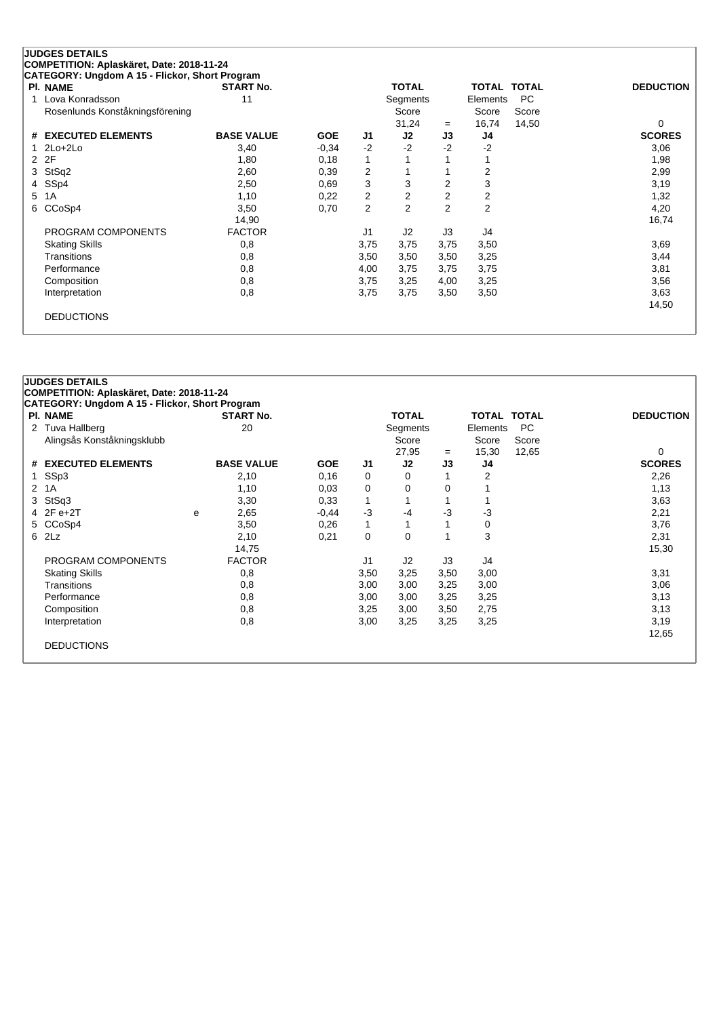| <b>PI. NAME</b>                 | <b>START No.</b>  |            |                | <b>TOTAL</b>   |                | <b>TOTAL TOTAL</b> |           | <b>DEDUCTION</b> |
|---------------------------------|-------------------|------------|----------------|----------------|----------------|--------------------|-----------|------------------|
| Lova Konradsson                 | 11                |            |                | Segments       |                | Elements           | <b>PC</b> |                  |
| Rosenlunds Konståkningsförening |                   |            |                | Score          |                | Score              | Score     |                  |
|                                 |                   |            |                | 31,24          | $=$            | 16,74              | 14,50     | 0                |
| # EXECUTED ELEMENTS             | <b>BASE VALUE</b> | <b>GOE</b> | J1             | J2             | J3             | J4                 |           | <b>SCORES</b>    |
| $1$ $2Lo+2Lo$                   | 3,40              | $-0,34$    | $-2$           | $-2$           | -2             | $-2$               |           | 3,06             |
| 2 2F                            | 1,80              | 0,18       | 1              |                |                |                    |           | 1,98             |
| 3 StSq2                         | 2,60              | 0,39       | 2              |                |                | 2                  |           | 2,99             |
| 4 SSp4                          | 2,50              | 0,69       | 3              | 3              | $\overline{2}$ | 3                  |           | 3,19             |
| 5 1A                            | 1,10              | 0,22       | 2              | $\overline{2}$ | $\overline{2}$ | 2                  |           | 1,32             |
| 6 CCoSp4                        | 3,50              | 0,70       | $\overline{2}$ | $\overline{2}$ | $\overline{2}$ | $\overline{2}$     |           | 4,20             |
|                                 | 14,90             |            |                |                |                |                    |           | 16,74            |
| PROGRAM COMPONENTS              | <b>FACTOR</b>     |            | J <sub>1</sub> | J <sub>2</sub> | J3             | J4                 |           |                  |
| <b>Skating Skills</b>           | 0,8               |            | 3,75           | 3,75           | 3,75           | 3,50               |           | 3,69             |
| Transitions                     | 0,8               |            | 3,50           | 3,50           | 3,50           | 3,25               |           | 3,44             |
| Performance                     | 0,8               |            | 4,00           | 3,75           | 3,75           | 3,75               |           | 3,81             |
| Composition                     | 0,8               |            | 3,75           | 3,25           | 4,00           | 3,25               |           | 3,56             |
| Interpretation                  | 0,8               |            | 3,75           | 3,75           | 3,50           | 3,50               |           | 3,63             |
|                                 |                   |            |                |                |                |                    |           | 14,50            |
| <b>DEDUCTIONS</b>               |                   |            |                |                |                |                    |           |                  |

| <b>PI. NAME</b>            |   | <b>START No.</b>  |            |                | <b>TOTAL</b> |      | <b>TOTAL TOTAL</b> |           | <b>DEDUCTION</b> |
|----------------------------|---|-------------------|------------|----------------|--------------|------|--------------------|-----------|------------------|
| 2 Tuva Hallberg            |   | 20                |            |                | Segments     |      | Elements           | <b>PC</b> |                  |
| Alingsås Konståkningsklubb |   |                   |            |                | Score        |      | Score              | Score     |                  |
|                            |   |                   |            |                | 27,95        | $=$  | 15,30              | 12,65     | 0                |
| # EXECUTED ELEMENTS        |   | <b>BASE VALUE</b> | <b>GOE</b> | J1             | J2           | J3   | J4                 |           | <b>SCORES</b>    |
| SSp3                       |   | 2,10              | 0,16       | 0              | 0            |      | 2                  |           | 2,26             |
| 2 1A                       |   | 1,10              | 0,03       | 0              | 0            | 0    |                    |           | 1,13             |
| 3 StSq3                    |   | 3,30              | 0.33       | 1              |              |      |                    |           | 3,63             |
| 4 $2F e+2T$                | e | 2,65              | $-0,44$    | $-3$           | -4           | $-3$ | -3                 |           | 2,21             |
| 5 CCoSp4                   |   | 3,50              | 0,26       | 1              |              |      | 0                  |           | 3,76             |
| $6$ $2Lz$                  |   | 2,10              | 0,21       | $\mathbf 0$    | 0            |      | 3                  |           | 2,31             |
|                            |   | 14,75             |            |                |              |      |                    |           | 15,30            |
| PROGRAM COMPONENTS         |   | <b>FACTOR</b>     |            | J <sub>1</sub> | J2           | J3   | J4                 |           |                  |
| <b>Skating Skills</b>      |   | 0,8               |            | 3,50           | 3,25         | 3,50 | 3,00               |           | 3,31             |
| Transitions                |   | 0,8               |            | 3,00           | 3,00         | 3,25 | 3,00               |           | 3,06             |
| Performance                |   | 0,8               |            | 3,00           | 3,00         | 3,25 | 3,25               |           | 3,13             |
| Composition                |   | 0,8               |            | 3,25           | 3,00         | 3,50 | 2,75               |           | 3,13             |
| Interpretation             |   | 0,8               |            | 3,00           | 3,25         | 3,25 | 3,25               |           | 3,19             |
|                            |   |                   |            |                |              |      |                    |           | 12,65            |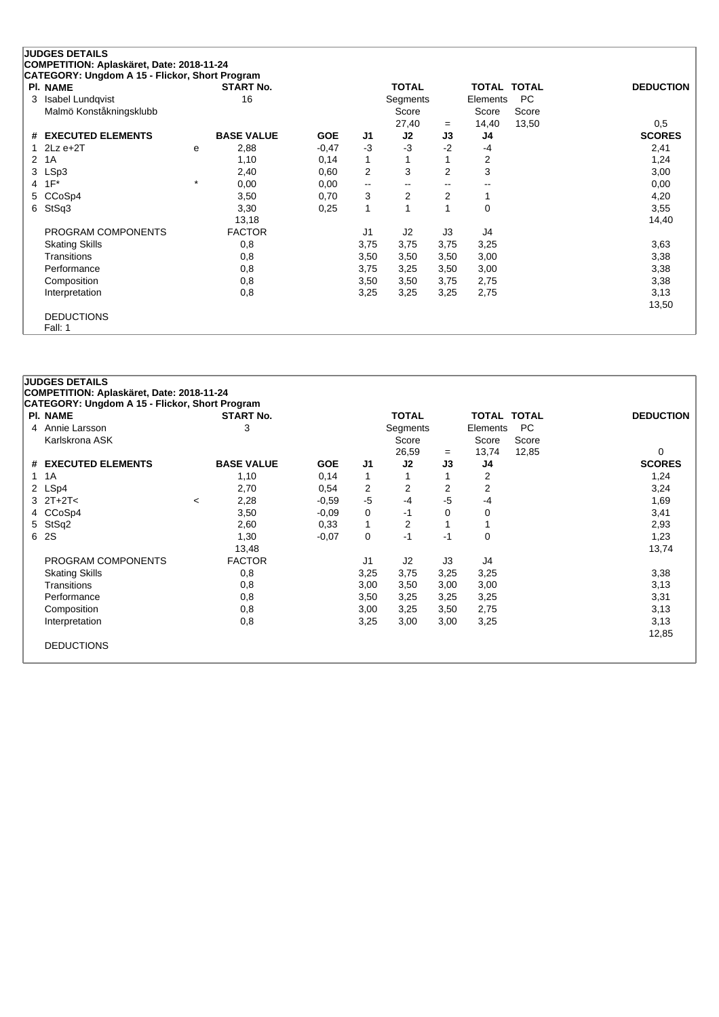| CATEGORY: Ungdom A 15 - Flickor, Short Program |         |                   |            |                          |                |      |                |       |                  |
|------------------------------------------------|---------|-------------------|------------|--------------------------|----------------|------|----------------|-------|------------------|
| <b>PI. NAME</b>                                |         | <b>START No.</b>  |            |                          | <b>TOTAL</b>   |      | TOTAL TOTAL    |       | <b>DEDUCTION</b> |
| 3 Isabel Lundqvist                             |         | 16                |            |                          | Segments       |      | Elements       | PC.   |                  |
| Malmö Konståkningsklubb                        |         |                   |            |                          | Score          |      | Score          | Score |                  |
|                                                |         |                   |            |                          | 27,40          | $=$  | 14,40          | 13,50 | 0,5              |
| # EXECUTED ELEMENTS                            |         | <b>BASE VALUE</b> | <b>GOE</b> | J1                       | J2             | J3   | J4             |       | <b>SCORES</b>    |
| 1 $2Lz e+2T$                                   | е       | 2,88              | $-0,47$    | -3                       | $-3$           | $-2$ | $-4$           |       | 2,41             |
| 2 1A                                           |         | 1,10              | 0,14       | 1                        |                |      | $\overline{2}$ |       | 1,24             |
| 3 LSp3                                         |         | 2,40              | 0,60       | $\overline{2}$           | 3              | 2    | 3              |       | 3,00             |
| 4 1F*                                          | $\star$ | 0,00              | 0,00       | $\overline{\phantom{a}}$ | --             | --   | --             |       | 0,00             |
| 5 CCoSp4                                       |         | 3,50              | 0,70       | 3                        | 2              | 2    |                |       | 4,20             |
| 6 StSq3                                        |         | 3,30              | 0,25       | 1                        | $\overline{1}$ |      | 0              |       | 3,55             |
|                                                |         | 13,18             |            |                          |                |      |                |       | 14,40            |
| PROGRAM COMPONENTS                             |         | <b>FACTOR</b>     |            | J1                       | J2             | J3   | J4             |       |                  |
| <b>Skating Skills</b>                          |         | 0,8               |            | 3,75                     | 3,75           | 3,75 | 3,25           |       | 3,63             |
| Transitions                                    |         | 0,8               |            | 3,50                     | 3,50           | 3,50 | 3,00           |       | 3,38             |
| Performance                                    |         | 0,8               |            | 3,75                     | 3,25           | 3,50 | 3,00           |       | 3,38             |
| Composition                                    |         | 0,8               |            | 3,50                     | 3,50           | 3,75 | 2,75           |       | 3,38             |
| Interpretation                                 |         | 0,8               |            | 3,25                     | 3,25           | 3,25 | 2,75           |       | 3,13             |
|                                                |         |                   |            |                          |                |      |                |       | 13,50            |
| <b>DEDUCTIONS</b>                              |         |                   |            |                          |                |      |                |       |                  |
| Fall: 1                                        |         |                   |            |                          |                |      |                |       |                  |

| <b>PI. NAME</b>       | <b>START No.</b>                 |            |                | <b>TOTAL</b> |      | <b>TOTAL TOTAL</b> |       | <b>DEDUCTION</b> |
|-----------------------|----------------------------------|------------|----------------|--------------|------|--------------------|-------|------------------|
| 4 Annie Larsson       | 3                                |            |                | Segments     |      | Elements           | PC.   |                  |
| Karlskrona ASK        |                                  |            |                | Score        |      | Score              | Score |                  |
|                       |                                  |            |                | 26,59        | $=$  | 13,74              | 12,85 | 0                |
| # EXECUTED ELEMENTS   | <b>BASE VALUE</b>                | <b>GOE</b> | J <sub>1</sub> | J2           | J3   | J4                 |       | <b>SCORES</b>    |
| 1 1 A                 | 1,10                             | 0,14       | 1              |              |      | 2                  |       | 1,24             |
| 2 LSp4                | 2,70                             | 0,54       | 2              | 2            | 2    | 2                  |       | 3,24             |
| $3 \t2T+2T<$          | 2,28<br>$\overline{\phantom{a}}$ | $-0.59$    | $-5$           | $-4$         | $-5$ | $-4$               |       | 1,69             |
| 4 CCoSp4              | 3,50                             | $-0.09$    | 0              | -1           | 0    | 0                  |       | 3,41             |
| 5 StSq2               | 2,60                             | 0,33       | 1              | 2            |      |                    |       | 2,93             |
| 6 2S                  | 1,30                             | $-0.07$    | 0              | $-1$         | $-1$ | 0                  |       | 1,23             |
|                       | 13,48                            |            |                |              |      |                    |       | 13,74            |
| PROGRAM COMPONENTS    | <b>FACTOR</b>                    |            | J <sub>1</sub> | J2           | J3   | J4                 |       |                  |
| <b>Skating Skills</b> | 0,8                              |            | 3,25           | 3,75         | 3,25 | 3,25               |       | 3,38             |
| Transitions           | 0,8                              |            | 3,00           | 3,50         | 3,00 | 3,00               |       | 3,13             |
| Performance           | 0,8                              |            | 3,50           | 3,25         | 3,25 | 3,25               |       | 3,31             |
| Composition           | 0,8                              |            | 3,00           | 3,25         | 3,50 | 2,75               |       | 3,13             |
| Interpretation        | 0,8                              |            | 3,25           | 3,00         | 3,00 | 3,25               |       | 3,13             |
|                       |                                  |            |                |              |      |                    |       | 12,85            |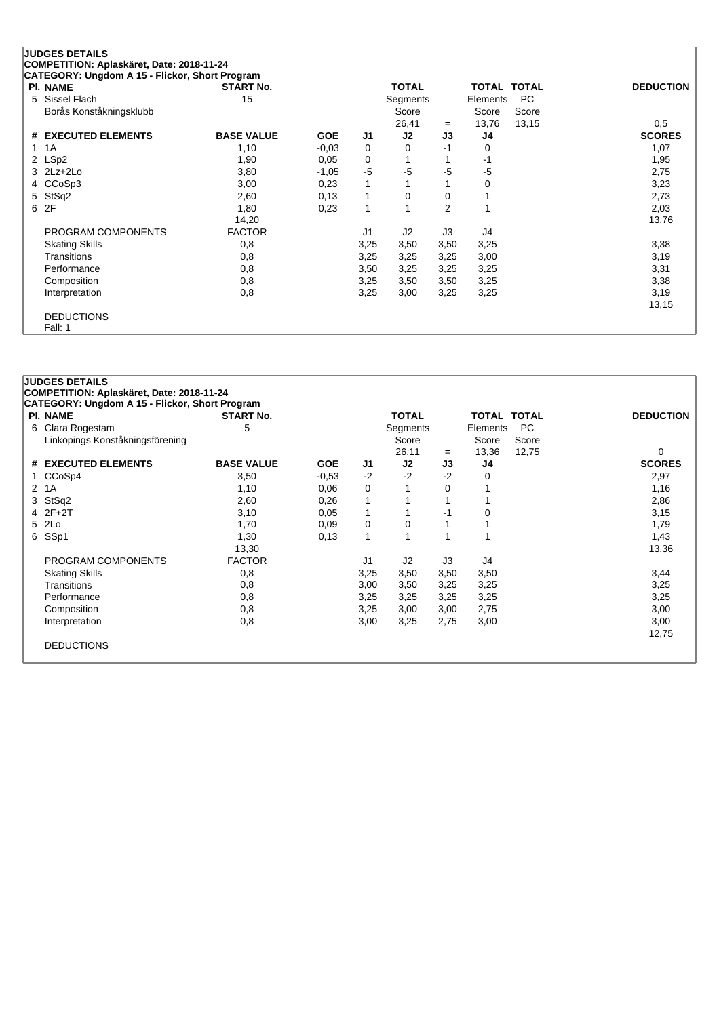| CATEGORY: Ungdom A 15 - Flickor, Short Program |                   |            |              |                |                |                    |       |                  |
|------------------------------------------------|-------------------|------------|--------------|----------------|----------------|--------------------|-------|------------------|
| <b>PI. NAME</b>                                | <b>START No.</b>  |            |              | <b>TOTAL</b>   |                | <b>TOTAL TOTAL</b> |       | <b>DEDUCTION</b> |
| 5 Sissel Flach                                 | 15                |            |              | Segments       |                | Elements           | PC.   |                  |
| Borås Konståkningsklubb                        |                   |            |              | Score          |                | Score              | Score |                  |
|                                                |                   |            |              | 26,41          | $=$            | 13,76              | 13,15 | 0,5              |
| # EXECUTED ELEMENTS                            | <b>BASE VALUE</b> | <b>GOE</b> | J1           | J2             | J3             | J4                 |       | <b>SCORES</b>    |
| 1 1 A                                          | 1,10              | $-0.03$    | 0            | 0              | -1             | 0                  |       | 1,07             |
| 2 LSp2                                         | 1,90              | 0.05       | 0            |                |                | -1                 |       | 1,95             |
| $3$ $2Lz+2Lo$                                  | 3,80              | $-1,05$    | $-5$         | $-5$           | -5             | -5                 |       | 2,75             |
| 4 CCoSp3                                       | 3,00              | 0,23       | $\mathbf{1}$ |                |                | 0                  |       | 3,23             |
| 5 StSq2                                        | 2,60              | 0,13       | 1            | 0              | 0              |                    |       | 2,73             |
| 6 2F                                           | 1,80              | 0,23       | 1            | 1              | $\overline{2}$ | 4                  |       | 2,03             |
|                                                | 14,20             |            |              |                |                |                    |       | 13,76            |
| PROGRAM COMPONENTS                             | <b>FACTOR</b>     |            | J1           | J <sub>2</sub> | J3             | J4                 |       |                  |
| <b>Skating Skills</b>                          | 0,8               |            | 3,25         | 3,50           | 3,50           | 3,25               |       | 3,38             |
| Transitions                                    | 0,8               |            | 3,25         | 3,25           | 3,25           | 3,00               |       | 3,19             |
| Performance                                    | 0,8               |            | 3,50         | 3,25           | 3,25           | 3,25               |       | 3,31             |
| Composition                                    | 0,8               |            | 3,25         | 3,50           | 3,50           | 3,25               |       | 3,38             |
| Interpretation                                 | 0,8               |            | 3,25         | 3,00           | 3,25           | 3,25               |       | 3,19             |
|                                                |                   |            |              |                |                |                    |       | 13,15            |
| <b>DEDUCTIONS</b>                              |                   |            |              |                |                |                    |       |                  |
| Fall: 1                                        |                   |            |              |                |                |                    |       |                  |

| PI. NAME                        | <b>START No.</b>  |            |                | <b>TOTAL</b> |          | TOTAL TOTAL       |           | <b>DEDUCTION</b> |
|---------------------------------|-------------------|------------|----------------|--------------|----------|-------------------|-----------|------------------|
| 6 Clara Rogestam                | 5                 |            |                | Segments     |          | Elements<br>Score | <b>PC</b> |                  |
| Linköpings Konståkningsförening |                   |            |                | Score        |          |                   | Score     |                  |
|                                 |                   |            |                | 26,11        | $=$      | 13,36             | 12,75     | 0                |
| # EXECUTED ELEMENTS             | <b>BASE VALUE</b> | <b>GOE</b> | J1             | J2           | J3       | J4                |           | <b>SCORES</b>    |
| 1 CCoSp4                        | 3,50              | $-0.53$    | $-2$           | $-2$         | $-2$     | 0                 |           | 2,97             |
| 2 1A                            | 1,10              | 0,06       | 0              |              | $\Omega$ |                   |           | 1,16             |
| 3 StSq2                         | 2,60              | 0,26       | 1              |              |          |                   |           | 2,86             |
| $4$ $2F+2T$                     | 3,10              | 0,05       | 1              |              | -1       | 0                 |           | 3,15             |
| 5 2Lo                           | 1,70              | 0,09       | 0              | 0            |          |                   |           | 1,79             |
| 6 SSp1                          | 1,30              | 0,13       | 1              | 1            |          |                   |           | 1,43             |
|                                 | 13,30             |            |                |              |          |                   |           | 13,36            |
| PROGRAM COMPONENTS              | <b>FACTOR</b>     |            | J <sub>1</sub> | J2           | J3       | J4                |           |                  |
| <b>Skating Skills</b>           | 0,8               |            | 3,25           | 3,50         | 3,50     | 3,50              |           | 3,44             |
| Transitions                     | 0,8               |            | 3,00           | 3,50         | 3,25     | 3,25              |           | 3,25             |
| Performance                     | 0,8               |            | 3,25           | 3,25         | 3,25     | 3,25              |           | 3,25             |
| Composition                     | 0,8               |            | 3,25           | 3,00         | 3,00     | 2,75              |           | 3,00             |
| Interpretation                  | 0,8               |            | 3,00           | 3,25         | 2,75     | 3,00              |           | 3,00             |
|                                 |                   |            |                |              |          |                   |           | 12,75            |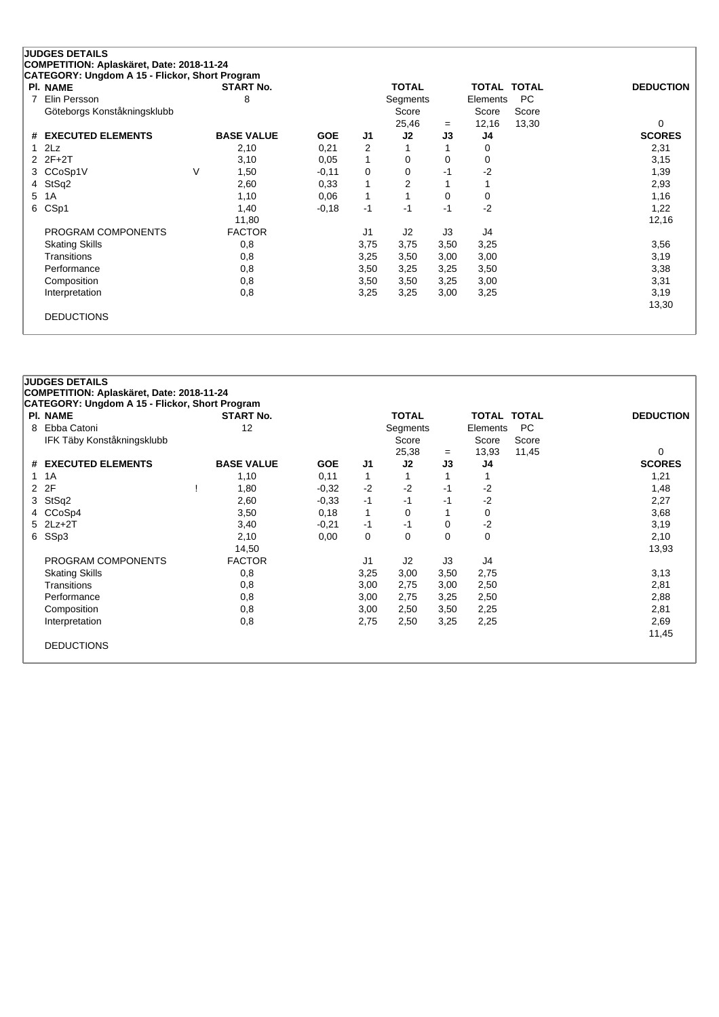| <b>PI. NAME</b>             |   | <b>START No.</b>  |            |              | <b>TOTAL</b>   |      | TOTAL TOTAL |           | <b>DEDUCTION</b> |
|-----------------------------|---|-------------------|------------|--------------|----------------|------|-------------|-----------|------------------|
| 7 Elin Persson              |   | 8                 |            |              | Segments       |      | Elements    | <b>PC</b> |                  |
| Göteborgs Konståkningsklubb |   |                   |            |              | Score          |      | Score       | Score     |                  |
|                             |   |                   |            |              | 25,46          | $=$  | 12,16       | 13,30     | 0                |
| # EXECUTED ELEMENTS         |   | <b>BASE VALUE</b> | <b>GOE</b> | J1           | J2             | J3   | J4          |           | <b>SCORES</b>    |
| $1$ $2Lz$                   |   | 2,10              | 0,21       | 2            |                |      | 0           |           | 2,31             |
| $2$ $2F+2T$                 |   | 3,10              | 0,05       | 1            | 0              | 0    | 0           |           | 3,15             |
| 3 CCoSp1V                   | V | 1,50              | $-0,11$    | 0            | 0              | -1   | $-2$        |           | 1,39             |
| 4 StSq2                     |   | 2,60              | 0,33       | $\mathbf{1}$ | $\overline{2}$ |      |             |           | 2,93             |
| 5 1A                        |   | 1,10              | 0,06       | $\mathbf{1}$ |                | 0    | 0           |           | 1,16             |
| 6 CSp1                      |   | 1,40              | $-0,18$    | -1           | -1             | $-1$ | $-2$        |           | 1,22             |
|                             |   | 11,80             |            |              |                |      |             |           | 12,16            |
| PROGRAM COMPONENTS          |   | <b>FACTOR</b>     |            | J1           | J <sub>2</sub> | J3   | J4          |           |                  |
| <b>Skating Skills</b>       |   | 0,8               |            | 3,75         | 3,75           | 3,50 | 3,25        |           | 3,56             |
| Transitions                 |   | 0,8               |            | 3,25         | 3,50           | 3,00 | 3,00        |           | 3,19             |
| Performance                 |   | 0,8               |            | 3,50         | 3,25           | 3,25 | 3,50        |           | 3,38             |
| Composition                 |   | 0,8               |            | 3,50         | 3,50           | 3,25 | 3,00        |           | 3,31             |
| Interpretation              |   | 0,8               |            | 3,25         | 3,25           | 3,00 | 3,25        |           | 3,19             |
|                             |   |                   |            |              |                |      |             |           | 13,30            |
| <b>DEDUCTIONS</b>           |   |                   |            |              |                |      |             |           |                  |

| <b>PI. NAME</b>            | <b>START No.</b>  |            |                | <b>TOTAL</b>   |      | <b>TOTAL TOTAL</b> |           | <b>DEDUCTION</b> |
|----------------------------|-------------------|------------|----------------|----------------|------|--------------------|-----------|------------------|
| 8 Ebba Catoni              | 12                |            |                | Segments       |      | Elements           | <b>PC</b> |                  |
| IFK Täby Konståkningsklubb |                   |            |                | Score          |      | Score              | Score     |                  |
|                            |                   |            |                | 25,38          | $=$  | 13,93              | 11,45     | 0                |
| # EXECUTED ELEMENTS        | <b>BASE VALUE</b> | <b>GOE</b> | J1             | J2             | J3   | J4                 |           | <b>SCORES</b>    |
| 1A                         | 1,10              | 0,11       | 1              |                |      |                    |           | 1,21             |
| 2 2F                       | 1,80              | $-0,32$    | $-2$           | $-2$           | -1   | $-2$               |           | 1,48             |
| 3 StSq2                    | 2,60              | $-0.33$    | $-1$           | -1             | -1   | $-2$               |           | 2,27             |
| 4 CCoSp4                   | 3,50              | 0,18       | 1              | 0              |      | 0                  |           | 3,68             |
| $5$ 2Lz+2T                 | 3,40              | $-0,21$    | $-1$           | -1             | 0    | $-2$               |           | 3,19             |
| 6 SSp3                     | 2,10              | 0,00       | 0              | 0              | 0    | 0                  |           | 2,10             |
|                            | 14,50             |            |                |                |      |                    |           | 13,93            |
| PROGRAM COMPONENTS         | <b>FACTOR</b>     |            | J <sub>1</sub> | J <sub>2</sub> | J3   | J4                 |           |                  |
| <b>Skating Skills</b>      | 0,8               |            | 3,25           | 3,00           | 3,50 | 2,75               |           | 3,13             |
| Transitions                | 0,8               |            | 3,00           | 2,75           | 3,00 | 2,50               |           | 2,81             |
| Performance                | 0,8               |            | 3,00           | 2,75           | 3,25 | 2,50               |           | 2,88             |
| Composition                | 0,8               |            | 3,00           | 2,50           | 3,50 | 2,25               |           | 2,81             |
| Interpretation             | 0,8               |            | 2,75           | 2,50           | 3,25 | 2,25               |           | 2,69             |
|                            |                   |            |                |                |      |                    |           | 11,45            |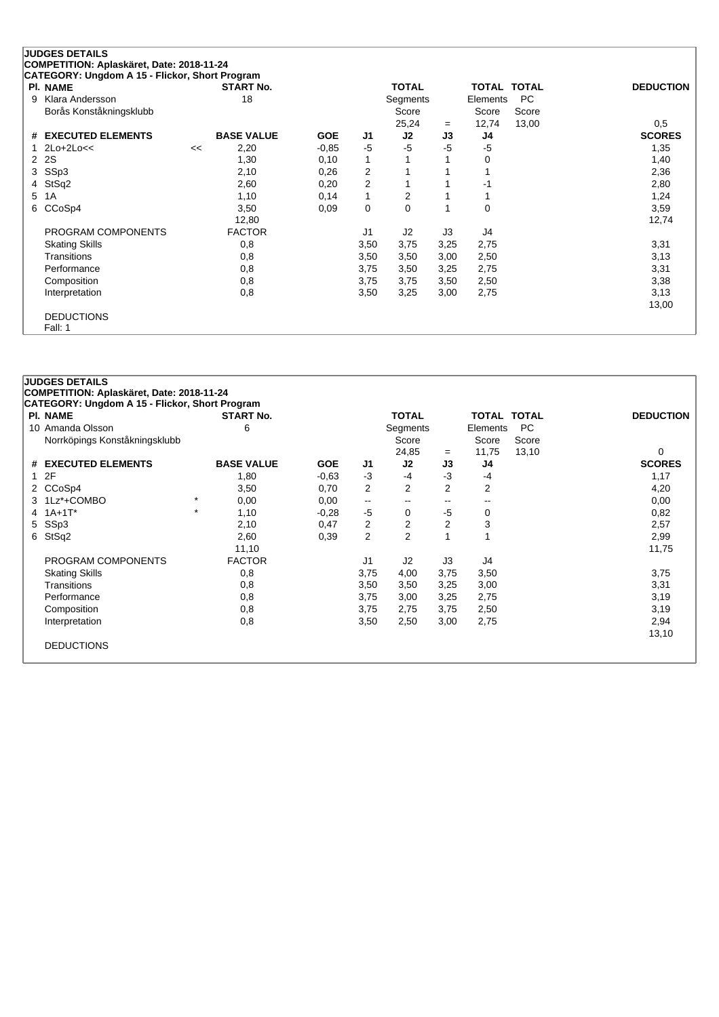|   | CATEGORY: Ungdom A 15 - Flickor, Short Program |    |                   |            |      |                |      |                    |           |                  |
|---|------------------------------------------------|----|-------------------|------------|------|----------------|------|--------------------|-----------|------------------|
|   | <b>PI. NAME</b>                                |    | <b>START No.</b>  |            |      | <b>TOTAL</b>   |      | <b>TOTAL TOTAL</b> |           | <b>DEDUCTION</b> |
| 9 | Klara Andersson                                |    | 18                |            |      | Segments       |      | Elements           | <b>PC</b> |                  |
|   | Borås Konståkningsklubb                        |    |                   |            |      | Score          |      | Score              | Score     |                  |
|   |                                                |    |                   |            |      | 25,24          | $=$  | 12,74              | 13,00     | 0,5              |
|   | # EXECUTED ELEMENTS                            |    | <b>BASE VALUE</b> | <b>GOE</b> | J1   | J2             | J3   | J4                 |           | <b>SCORES</b>    |
|   | $1$ $2Lo+2Lo<<$                                | << | 2,20              | $-0.85$    | -5   | -5             | $-5$ | -5                 |           | 1,35             |
|   | 2 2 S                                          |    | 1,30              | 0,10       | 1    |                |      | 0                  |           | 1,40             |
|   | 3 SSp3                                         |    | 2,10              | 0,26       | 2    |                |      |                    |           | 2,36             |
|   | 4 StSq2                                        |    | 2,60              | 0,20       | 2    |                |      | -1                 |           | 2,80             |
|   | 5 1A                                           |    | 1,10              | 0,14       | 1    | 2              |      |                    |           | 1,24             |
|   | 6 CCoSp4                                       |    | 3,50              | 0,09       | 0    | 0              |      | 0                  |           | 3,59             |
|   |                                                |    | 12,80             |            |      |                |      |                    |           | 12,74            |
|   | PROGRAM COMPONENTS                             |    | <b>FACTOR</b>     |            | J1   | J <sub>2</sub> | J3   | J4                 |           |                  |
|   | <b>Skating Skills</b>                          |    | 0,8               |            | 3,50 | 3,75           | 3,25 | 2,75               |           | 3,31             |
|   | Transitions                                    |    | 0,8               |            | 3,50 | 3,50           | 3,00 | 2,50               |           | 3,13             |
|   | Performance                                    |    | 0,8               |            | 3,75 | 3,50           | 3,25 | 2,75               |           | 3,31             |
|   | Composition                                    |    | 0,8               |            | 3,75 | 3,75           | 3,50 | 2,50               |           | 3,38             |
|   | Interpretation                                 |    | 0,8               |            | 3,50 | 3,25           | 3,00 | 2,75               |           | 3,13             |
|   |                                                |    |                   |            |      |                |      |                    |           | 13,00            |
|   | <b>DEDUCTIONS</b>                              |    |                   |            |      |                |      |                    |           |                  |
|   | Fall: 1                                        |    |                   |            |      |                |      |                    |           |                  |

| <b>PI. NAME</b>               |         | <b>START No.</b>  |            |                          | <b>TOTAL</b>             |                          | <b>TOTAL TOTAL</b> |           | <b>DEDUCTION</b> |
|-------------------------------|---------|-------------------|------------|--------------------------|--------------------------|--------------------------|--------------------|-----------|------------------|
| 10 Amanda Olsson              |         | 6                 |            |                          | Segments                 |                          | Elements           | <b>PC</b> |                  |
| Norrköpings Konståkningsklubb |         |                   |            |                          | Score                    |                          | Score              | Score     |                  |
|                               |         |                   |            |                          | 24,85                    | $=$                      | 11,75              | 13,10     | 0                |
| # EXECUTED ELEMENTS           |         | <b>BASE VALUE</b> | <b>GOE</b> | J1                       | J2                       | J3                       | J4                 |           | <b>SCORES</b>    |
| 12F                           |         | 1,80              | $-0.63$    | $-3$                     | -4                       | -3                       | -4                 |           | 1,17             |
| 2 CCoSp4                      |         | 3,50              | 0,70       | $\overline{2}$           | 2                        | $\overline{2}$           | $\overline{2}$     |           | 4,20             |
| 3 1Lz*+COMBO                  | $\ast$  | 0,00              | 0,00       | $\overline{\phantom{a}}$ | $\overline{\phantom{m}}$ | $\overline{\phantom{m}}$ | --                 |           | 0,00             |
| $4.1A+1T^*$                   | $\star$ | 1,10              | $-0,28$    | $-5$                     | 0                        | -5                       | 0                  |           | 0,82             |
| 5 SSp3                        |         | 2,10              | 0,47       | $\overline{2}$           | $\overline{2}$           | $\overline{2}$           | 3                  |           | 2,57             |
| 6 StSq2                       |         | 2,60              | 0,39       | $\overline{2}$           | $\overline{2}$           |                          | 1                  |           | 2,99             |
|                               |         | 11,10             |            |                          |                          |                          |                    |           | 11,75            |
| PROGRAM COMPONENTS            |         | <b>FACTOR</b>     |            | J <sub>1</sub>           | J <sub>2</sub>           | J3                       | J4                 |           |                  |
| <b>Skating Skills</b>         |         | 0,8               |            | 3,75                     | 4,00                     | 3,75                     | 3,50               |           | 3,75             |
| Transitions                   |         | 0,8               |            | 3,50                     | 3,50                     | 3,25                     | 3,00               |           | 3,31             |
| Performance                   |         | 0,8               |            | 3,75                     | 3,00                     | 3,25                     | 2,75               |           | 3,19             |
| Composition                   |         | 0,8               |            | 3,75                     | 2,75                     | 3,75                     | 2,50               |           | 3,19             |
| Interpretation                |         | 0,8               |            | 3,50                     | 2,50                     | 3,00                     | 2,75               |           | 2,94             |
|                               |         |                   |            |                          |                          |                          |                    |           | 13,10            |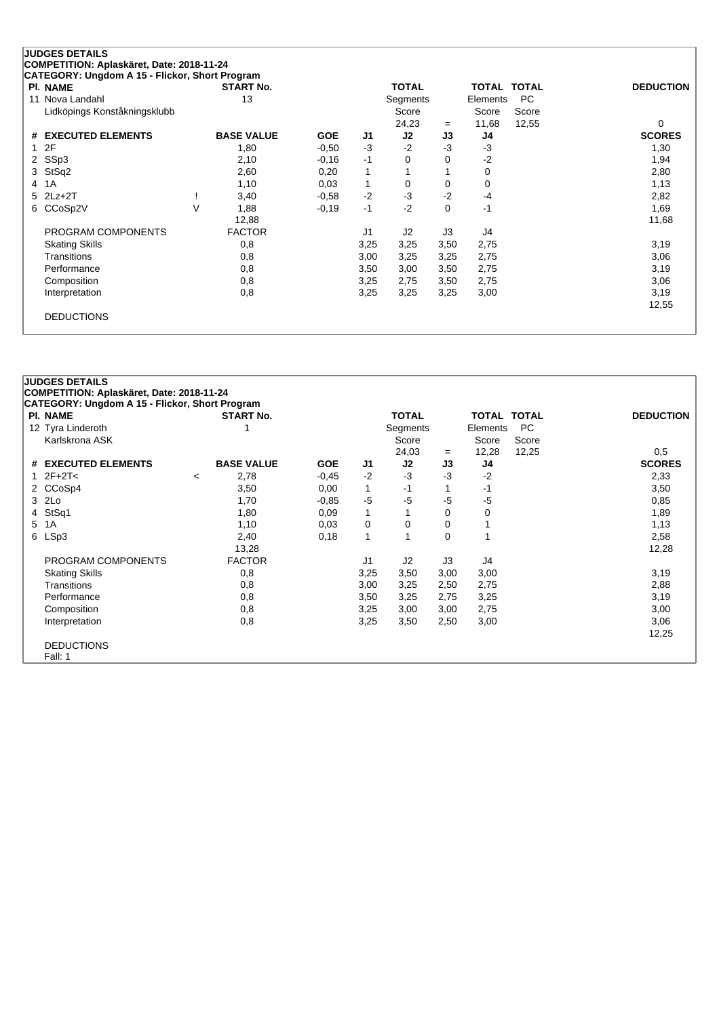| <b>PI. NAME</b>              |   | <b>START No.</b>  |            |              | <b>TOTAL</b> |      | <b>TOTAL TOTAL</b> |       | <b>DEDUCTION</b> |
|------------------------------|---|-------------------|------------|--------------|--------------|------|--------------------|-------|------------------|
| 11 Nova Landahl              |   | 13                |            |              | Segments     |      | Elements           | PC.   |                  |
| Lidköpings Konståkningsklubb |   |                   |            |              | Score        |      | Score              | Score |                  |
|                              |   |                   |            |              | 24,23        | $=$  | 11,68              | 12,55 | 0                |
| # EXECUTED ELEMENTS          |   | <b>BASE VALUE</b> | <b>GOE</b> | J1           | J2           | J3   | J4                 |       | <b>SCORES</b>    |
| 12F                          |   | 1,80              | $-0.50$    | $-3$         | $-2$         | -3   | $-3$               |       | 1,30             |
| 2 SSp3                       |   | 2,10              | $-0,16$    | $-1$         | 0            | 0    | $-2$               |       | 1,94             |
| 3 StSq2                      |   | 2,60              | 0,20       | $\mathbf{1}$ |              |      | 0                  |       | 2,80             |
| 4 1 A                        |   | 1,10              | 0.03       | 1            | 0            | 0    | 0                  |       | 1,13             |
| 5 2Lz+2T                     |   | 3,40              | $-0.58$    | $-2$         | $-3$         | -2   | -4                 |       | 2,82             |
| 6 CCoSp2V                    | V | 1,88              | $-0,19$    | $-1$         | $-2$         | 0    | -1                 |       | 1,69             |
|                              |   | 12,88             |            |              |              |      |                    |       | 11,68            |
| PROGRAM COMPONENTS           |   | <b>FACTOR</b>     |            | J1           | J2           | J3   | J4                 |       |                  |
| <b>Skating Skills</b>        |   | 0,8               |            | 3,25         | 3,25         | 3,50 | 2,75               |       | 3,19             |
| Transitions                  |   | 0,8               |            | 3,00         | 3,25         | 3,25 | 2,75               |       | 3,06             |
| Performance                  |   | 0,8               |            | 3,50         | 3,00         | 3,50 | 2,75               |       | 3,19             |
| Composition                  |   | 0,8               |            | 3,25         | 2,75         | 3,50 | 2,75               |       | 3,06             |
| Interpretation               |   | 0,8               |            | 3,25         | 3,25         | 3,25 | 3,00               |       | 3,19             |
|                              |   |                   |            |              |              |      |                    |       | 12,55            |
| <b>DEDUCTIONS</b>            |   |                   |            |              |              |      |                    |       |                  |

| <b>PI. NAME</b>       |                          | <b>START No.</b>  |            |      | <b>TOTAL</b> |          | TOTAL TOTAL |           | <b>DEDUCTION</b> |
|-----------------------|--------------------------|-------------------|------------|------|--------------|----------|-------------|-----------|------------------|
| 12 Tyra Linderoth     |                          |                   |            |      | Segments     |          | Elements    | <b>PC</b> |                  |
| Karlskrona ASK        |                          |                   |            |      | Score        |          | Score       | Score     |                  |
|                       |                          |                   |            |      | 24,03        | $=$      | 12,28       | 12,25     | 0.5              |
| # EXECUTED ELEMENTS   |                          | <b>BASE VALUE</b> | <b>GOE</b> | J1   | J2           | J3       | J4          |           | <b>SCORES</b>    |
| $12F+2T<$             | $\overline{\phantom{a}}$ | 2,78              | $-0.45$    | $-2$ | $-3$         | -3       | $-2$        |           | 2,33             |
| 2 CCoSp4              |                          | 3,50              | 0,00       | 1    | -1           |          | -1          |           | 3,50             |
| 3 2Lo                 |                          | 1,70              | $-0.85$    | $-5$ | $-5$         | -5       | -5          |           | 0,85             |
| 4 StSq1               |                          | 1,80              | 0,09       | 1    |              | $\Omega$ | 0           |           | 1,89             |
| 5 1A                  |                          | 1,10              | 0,03       | 0    | 0            | 0        |             |           | 1,13             |
| 6 LSp3                |                          | 2,40              | 0,18       | 1    |              | 0        |             |           | 2,58             |
|                       |                          | 13,28             |            |      |              |          |             |           | 12,28            |
| PROGRAM COMPONENTS    |                          | <b>FACTOR</b>     |            | J1   | J2           | J3       | J4          |           |                  |
| <b>Skating Skills</b> |                          | 0,8               |            | 3,25 | 3,50         | 3,00     | 3,00        |           | 3,19             |
| Transitions           |                          | 0,8               |            | 3,00 | 3,25         | 2,50     | 2,75        |           | 2,88             |
| Performance           |                          | 0,8               |            | 3,50 | 3,25         | 2,75     | 3,25        |           | 3,19             |
| Composition           |                          | 0,8               |            | 3,25 | 3,00         | 3,00     | 2,75        |           | 3,00             |
| Interpretation        |                          | 0,8               |            | 3,25 | 3,50         | 2,50     | 3,00        |           | 3,06             |
|                       |                          |                   |            |      |              |          |             |           | 12,25            |
| <b>DEDUCTIONS</b>     |                          |                   |            |      |              |          |             |           |                  |
| Fall: 1               |                          |                   |            |      |              |          |             |           |                  |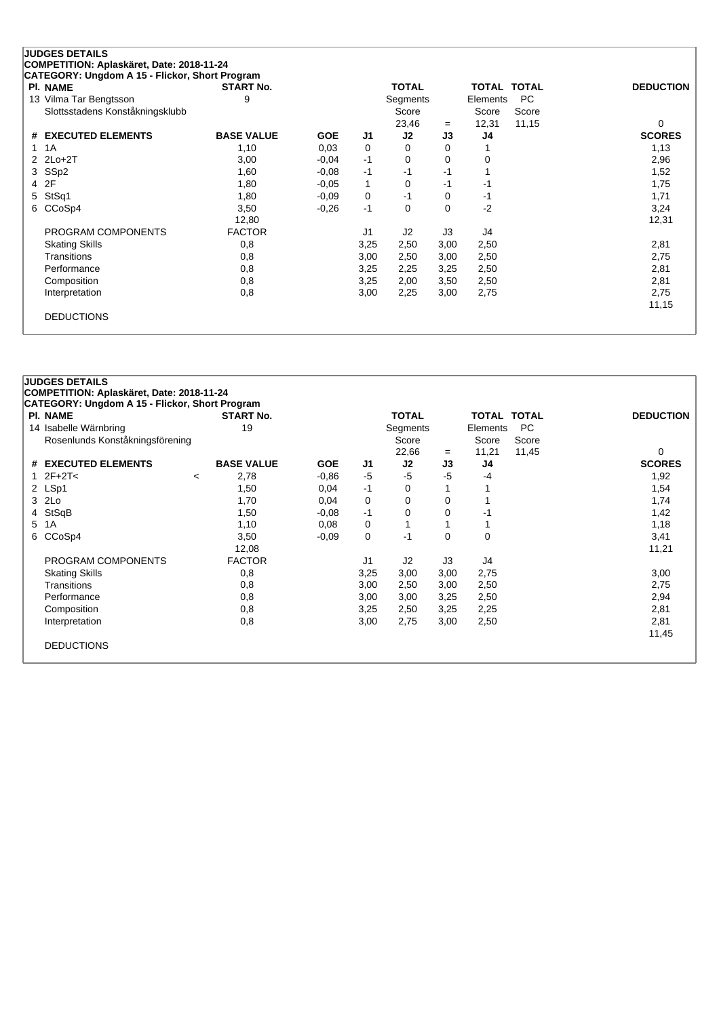| <b>PI. NAME</b>                 | <b>START No.</b>  |            |      | <b>TOTAL</b> |      | TOTAL TOTAL |           | <b>DEDUCTION</b> |
|---------------------------------|-------------------|------------|------|--------------|------|-------------|-----------|------------------|
| 13 Vilma Tar Bengtsson          | 9                 |            |      | Segments     |      | Elements    | <b>PC</b> |                  |
| Slottsstadens Konståkningsklubb |                   |            |      | Score        |      | Score       | Score     |                  |
|                                 |                   |            |      | 23,46        | $=$  | 12,31       | 11,15     | $\Omega$         |
| <b>EXECUTED ELEMENTS</b><br>#   | <b>BASE VALUE</b> | <b>GOE</b> | J1   | J2           | J3   | J4          |           | <b>SCORES</b>    |
| 1A                              | 1,10              | 0,03       | 0    | 0            | 0    |             |           | 1,13             |
| $2Lo+2T$                        | 3,00              | $-0.04$    | $-1$ | 0            | 0    | 0           |           | 2,96             |
| SSp2<br>3                       | 1,60              | $-0,08$    | $-1$ | $-1$         | $-1$ |             |           | 1,52             |
| 2F<br>4                         | 1,80              | $-0.05$    |      | $\Omega$     | $-1$ | $-1$        |           | 1,75             |
| StSq1<br>5                      | 1,80              | $-0,09$    | 0    | $-1$         | 0    | $-1$        |           | 1,71             |
| 6 CCoSp4                        | 3,50              | $-0,26$    | $-1$ | $\Omega$     | 0    | $-2$        |           | 3,24             |
|                                 | 12,80             |            |      |              |      |             |           | 12,31            |
| PROGRAM COMPONENTS              | <b>FACTOR</b>     |            | J1   | J2           | J3   | J4          |           |                  |
| <b>Skating Skills</b>           | 0,8               |            | 3,25 | 2,50         | 3,00 | 2,50        |           | 2,81             |
| Transitions                     | 0,8               |            | 3,00 | 2,50         | 3,00 | 2,50        |           | 2,75             |
| Performance                     | 0,8               |            | 3,25 | 2,25         | 3,25 | 2,50        |           | 2,81             |
| Composition                     | 0,8               |            | 3,25 | 2,00         | 3,50 | 2,50        |           | 2,81             |
| Interpretation                  | 0,8               |            | 3,00 | 2,25         | 3,00 | 2,75        |           | 2,75             |
|                                 |                   |            |      |              |      |             |           | 11,15            |

|   | <b>JUDGES DETAILS</b>                          |         |                   |            |                |              |          |                    |           |                  |
|---|------------------------------------------------|---------|-------------------|------------|----------------|--------------|----------|--------------------|-----------|------------------|
|   | COMPETITION: Aplaskäret, Date: 2018-11-24      |         |                   |            |                |              |          |                    |           |                  |
|   | CATEGORY: Ungdom A 15 - Flickor, Short Program |         |                   |            |                |              |          |                    |           |                  |
|   | <b>PI. NAME</b>                                |         | <b>START No.</b>  |            |                | <b>TOTAL</b> |          | <b>TOTAL TOTAL</b> |           | <b>DEDUCTION</b> |
|   | 14 Isabelle Wärnbring                          |         | 19                |            |                | Segments     |          | Elements           | <b>PC</b> |                  |
|   | Rosenlunds Konståkningsförening                |         |                   |            |                | Score        |          | Score              | Score     |                  |
|   |                                                |         |                   |            |                | 22,66        | $=$      | 11,21              | 11,45     | 0                |
|   | # EXECUTED ELEMENTS                            |         | <b>BASE VALUE</b> | <b>GOE</b> | J <sub>1</sub> | J2           | J3       | J4                 |           | <b>SCORES</b>    |
|   | $2F+2T<$                                       | $\prec$ | 2,78              | $-0.86$    | -5             | -5           | -5       | $-4$               |           | 1,92             |
|   | 2 LSp1                                         |         | 1,50              | 0,04       | $-1$           | 0            |          |                    |           | 1,54             |
| 3 | 2Lo                                            |         | 1,70              | 0,04       | 0              | 0            | $\Omega$ |                    |           | 1,74             |
|   | 4 StSqB                                        |         | 1,50              | $-0,08$    | $-1$           | 0            | 0        | -1                 |           | 1,42             |
|   | 5 1A                                           |         | 1,10              | 0,08       | 0              |              |          |                    |           | 1,18             |
| 6 | CCoSp4                                         |         | 3,50              | $-0.09$    | 0              | -1           | 0        | 0                  |           | 3,41             |
|   |                                                |         | 12,08             |            |                |              |          |                    |           | 11,21            |
|   | PROGRAM COMPONENTS                             |         | <b>FACTOR</b>     |            | J <sub>1</sub> | J2           | J3       | J4                 |           |                  |
|   | <b>Skating Skills</b>                          |         | 0,8               |            | 3,25           | 3,00         | 3,00     | 2,75               |           | 3,00             |
|   | Transitions                                    |         | 0,8               |            | 3,00           | 2,50         | 3,00     | 2,50               |           | 2,75             |
|   | Performance                                    |         | 0,8               |            | 3,00           | 3,00         | 3,25     | 2,50               |           | 2,94             |
|   | Composition                                    |         | 0,8               |            | 3,25           | 2,50         | 3,25     | 2,25               |           | 2,81             |
|   | Interpretation                                 |         | 0,8               |            | 3,00           | 2,75         | 3,00     | 2,50               |           | 2,81             |
|   |                                                |         |                   |            |                |              |          |                    |           | 11,45            |
|   | <b>DEDUCTIONS</b>                              |         |                   |            |                |              |          |                    |           |                  |
|   |                                                |         |                   |            |                |              |          |                    |           |                  |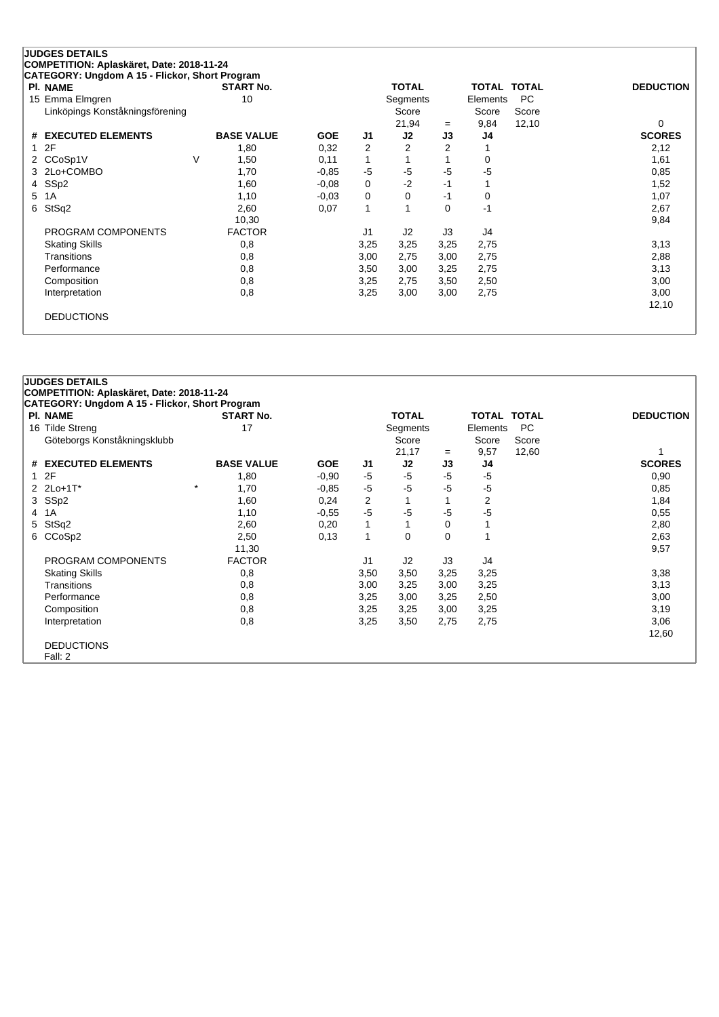| <b>PI. NAME</b>                 |   | <b>START No.</b>  |            |      | <b>TOTAL</b>   |                | <b>TOTAL TOTAL</b> |           | <b>DEDUCTION</b> |
|---------------------------------|---|-------------------|------------|------|----------------|----------------|--------------------|-----------|------------------|
| 15 Emma Elmgren                 |   | 10                |            |      | Segments       |                | Elements           | <b>PC</b> |                  |
| Linköpings Konståkningsförening |   |                   |            |      | Score          |                | Score              | Score     |                  |
|                                 |   |                   |            |      | 21,94          | $=$            | 9,84               | 12,10     | 0                |
| # EXECUTED ELEMENTS             |   | <b>BASE VALUE</b> | <b>GOE</b> | J1   | J2             | J3             | J4                 |           | <b>SCORES</b>    |
| 2F                              |   | 1,80              | 0,32       | 2    | $\overline{2}$ | $\overline{2}$ |                    |           | 2,12             |
| 2 CCoSp1V                       | V | 1,50              | 0,11       | 1    |                |                | 0                  |           | 1,61             |
| 2Lo+COMBO<br>3                  |   | 1,70              | $-0.85$    | $-5$ | -5             | -5             | -5                 |           | 0,85             |
| SS <sub>p2</sub><br>4           |   | 1,60              | $-0.08$    | 0    | $-2$           | $-1$           |                    |           | 1,52             |
| 5<br>1A                         |   | 1,10              | $-0.03$    | 0    | 0              | -1             | 0                  |           | 1,07             |
| StSq2<br>6                      |   | 2,60              | 0,07       | 1    |                | $\Omega$       | $-1$               |           | 2,67             |
|                                 |   | 10,30             |            |      |                |                |                    |           | 9,84             |
| PROGRAM COMPONENTS              |   | <b>FACTOR</b>     |            | J1   | J <sub>2</sub> | J3             | J4                 |           |                  |
| <b>Skating Skills</b>           |   | 0,8               |            | 3,25 | 3,25           | 3,25           | 2,75               |           | 3,13             |
| Transitions                     |   | 0,8               |            | 3,00 | 2,75           | 3,00           | 2,75               |           | 2,88             |
| Performance                     |   | 0,8               |            | 3,50 | 3,00           | 3,25           | 2,75               |           | 3,13             |
| Composition                     |   | 0,8               |            | 3,25 | 2,75           | 3,50           | 2,50               |           | 3,00             |
| Interpretation                  |   | 0,8               |            | 3,25 | 3,00           | 3,00           | 2,75               |           | 3,00             |
|                                 |   |                   |            |      |                |                |                    |           | 12,10            |

|   | <b>JUDGES DETAILS</b>                                 |                   |            |                |              |      |          |              |                  |
|---|-------------------------------------------------------|-------------------|------------|----------------|--------------|------|----------|--------------|------------------|
|   | COMPETITION: Aplaskäret, Date: 2018-11-24             |                   |            |                |              |      |          |              |                  |
|   | <b>CATEGORY: Ungdom A 15 - Flickor, Short Program</b> |                   |            |                |              |      |          |              |                  |
|   | <b>PI. NAME</b>                                       | <b>START No.</b>  |            |                | <b>TOTAL</b> |      | TOTAL    | <b>TOTAL</b> | <b>DEDUCTION</b> |
|   | 16 Tilde Streng                                       | 17                |            |                | Segments     |      | Elements | PC.          |                  |
|   | Göteborgs Konståkningsklubb                           |                   |            |                | Score        |      | Score    | Score        |                  |
|   |                                                       |                   |            |                | 21,17        | $=$  | 9,57     | 12,60        |                  |
|   | # EXECUTED ELEMENTS                                   | <b>BASE VALUE</b> | <b>GOE</b> | J <sub>1</sub> | J2           | J3   | J4       |              | <b>SCORES</b>    |
|   | 12F                                                   | 1,80              | $-0.90$    | $-5$           | $-5$         | -5   | -5       |              | 0,90             |
|   | 2 2Lo+1T*                                             | $\star$<br>1,70   | $-0.85$    | $-5$           | $-5$         | -5   | -5       |              | 0,85             |
| 3 | SSp2                                                  | 1,60              | 0,24       | 2              |              |      | 2        |              | 1,84             |
| 4 | 1A                                                    | 1,10              | $-0,55$    | $-5$           | $-5$         | -5   | -5       |              | 0,55             |
| 5 | StSq2                                                 | 2,60              | 0,20       | 1              |              | 0    |          |              | 2,80             |
|   | 6 CCoSp2                                              | 2,50              | 0,13       | 1              | 0            | 0    |          |              | 2,63             |
|   |                                                       | 11,30             |            |                |              |      |          |              | 9,57             |
|   | PROGRAM COMPONENTS                                    | <b>FACTOR</b>     |            | J1             | J2           | J3   | J4       |              |                  |
|   | <b>Skating Skills</b>                                 | 0,8               |            | 3,50           | 3,50         | 3,25 | 3,25     |              | 3,38             |
|   | Transitions                                           | 0,8               |            | 3,00           | 3,25         | 3,00 | 3,25     |              | 3,13             |
|   | Performance                                           | 0,8               |            | 3,25           | 3,00         | 3,25 | 2,50     |              | 3,00             |
|   | Composition                                           | 0,8               |            | 3,25           | 3,25         | 3,00 | 3,25     |              | 3,19             |
|   | Interpretation                                        | 0,8               |            | 3,25           | 3,50         | 2,75 | 2,75     |              | 3,06             |
|   |                                                       |                   |            |                |              |      |          |              | 12,60            |
|   | <b>DEDUCTIONS</b>                                     |                   |            |                |              |      |          |              |                  |
|   | Fall: 2                                               |                   |            |                |              |      |          |              |                  |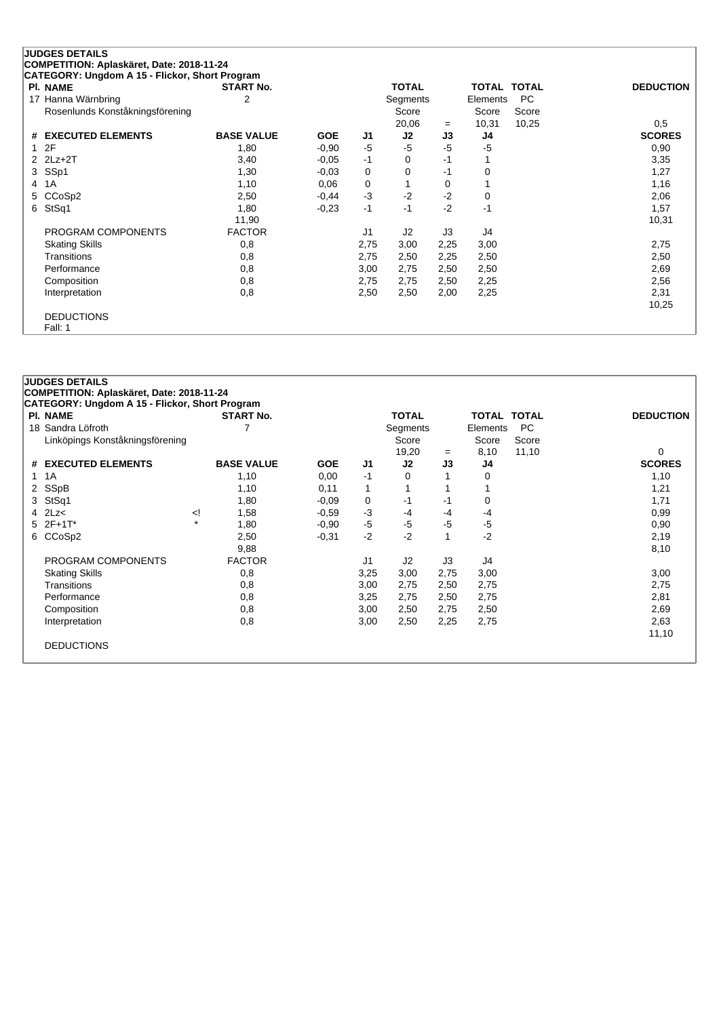| <b>PI. NAME</b>                 | CATEGORY: Ungdom A 15 - Flickor, Short Program<br><b>START No.</b> |            |          | <b>TOTAL</b> |      | <b>TOTAL TOTAL</b> |           | <b>DEDUCTION</b> |
|---------------------------------|--------------------------------------------------------------------|------------|----------|--------------|------|--------------------|-----------|------------------|
| 17 Hanna Wärnbring              | 2                                                                  |            |          | Segments     |      | Elements           | <b>PC</b> |                  |
| Rosenlunds Konståkningsförening |                                                                    |            |          | Score        |      | Score              | Score     |                  |
|                                 |                                                                    |            |          | 20,06        | $=$  | 10,31              | 10,25     | 0,5              |
| # EXECUTED ELEMENTS             | <b>BASE VALUE</b>                                                  | <b>GOE</b> | J1       | J2           | J3   | J4                 |           | <b>SCORES</b>    |
| 2F                              | 1,80                                                               | $-0,90$    | $-5$     | -5           | $-5$ | $-5$               |           | 0,90             |
| $2$ $2Lz+2T$                    | 3,40                                                               | $-0.05$    | $-1$     | $\Omega$     | $-1$ | 1                  |           | 3,35             |
| 3 SSp1                          | 1,30                                                               | $-0,03$    | $\Omega$ | $\Omega$     | $-1$ | 0                  |           | 1,27             |
| 1A<br>$\overline{4}$            | 1,10                                                               | 0,06       | $\Omega$ |              | 0    |                    |           | 1,16             |
| CCoSp2<br>5                     | 2,50                                                               | $-0,44$    | $-3$     | $-2$         | $-2$ | 0                  |           | 2,06             |
| StSq1<br>6                      | 1,80                                                               | $-0.23$    | $-1$     | $-1$         | $-2$ | $-1$               |           | 1,57             |
|                                 | 11,90                                                              |            |          |              |      |                    |           | 10,31            |
| PROGRAM COMPONENTS              | <b>FACTOR</b>                                                      |            | J1       | J2           | J3   | J4                 |           |                  |
| <b>Skating Skills</b>           | 0,8                                                                |            | 2,75     | 3,00         | 2,25 | 3,00               |           | 2,75             |
| Transitions                     | 0,8                                                                |            | 2,75     | 2,50         | 2,25 | 2,50               |           | 2,50             |
| Performance                     | 0,8                                                                |            | 3,00     | 2,75         | 2,50 | 2,50               |           | 2,69             |
| Composition                     | 0,8                                                                |            | 2,75     | 2,75         | 2,50 | 2,25               |           | 2,56             |
| Interpretation                  | 0,8                                                                |            | 2,50     | 2,50         | 2,00 | 2,25               |           | 2,31             |
|                                 |                                                                    |            |          |              |      |                    |           | 10,25            |

| <b>PI. NAME</b>                 |                                                                                                                                                                            | <b>START No.</b>  |            |      | <b>TOTAL</b>   |      | <b>TOTAL TOTAL</b> |       | <b>DEDUCTION</b> |
|---------------------------------|----------------------------------------------------------------------------------------------------------------------------------------------------------------------------|-------------------|------------|------|----------------|------|--------------------|-------|------------------|
| 18 Sandra Löfroth               |                                                                                                                                                                            |                   |            |      | Segments       |      | Elements           | PC.   |                  |
| Linköpings Konståkningsförening |                                                                                                                                                                            |                   |            |      | Score          |      | Score              | Score |                  |
|                                 |                                                                                                                                                                            |                   |            |      | 19,20          | $=$  | 8,10               | 11,10 | 0                |
| <b>EXECUTED ELEMENTS</b><br>#   |                                                                                                                                                                            | <b>BASE VALUE</b> | <b>GOE</b> | J1   | J2             | J3   | J4                 |       | <b>SCORES</b>    |
| 1A                              |                                                                                                                                                                            | 1,10              | 0,00       | $-1$ | $\Omega$       |      | 0                  |       | 1,10             |
| SSpB<br>$^{2}$                  |                                                                                                                                                                            | 1,10              | 0,11       | 1    |                |      |                    |       | 1,21             |
| StSq1<br>3                      |                                                                                                                                                                            | 1,80              | $-0.09$    | 0    | -1             | -1   | 0                  |       | 1,71             |
| $4$ 2Lz $<$                     | </td <td>1,58</td> <td><math>-0.59</math></td> <td><math>-3</math></td> <td><math>-4</math></td> <td><math>-4</math></td> <td><math>-4</math></td> <td></td> <td>0,99</td> | 1,58              | $-0.59$    | $-3$ | $-4$           | $-4$ | $-4$               |       | 0,99             |
| $52F+1T^*$                      |                                                                                                                                                                            | 1,80              | $-0.90$    | $-5$ | $-5$           | $-5$ | $-5$               |       | 0,90             |
| 6 CCoSp2                        |                                                                                                                                                                            | 2,50              | $-0,31$    | $-2$ | $-2$           |      | $-2$               |       | 2,19             |
|                                 |                                                                                                                                                                            | 9,88              |            |      |                |      |                    |       | 8,10             |
| PROGRAM COMPONENTS              |                                                                                                                                                                            | <b>FACTOR</b>     |            | J1   | J <sub>2</sub> | J3   | J4                 |       |                  |
| <b>Skating Skills</b>           |                                                                                                                                                                            | 0,8               |            | 3,25 | 3,00           | 2,75 | 3,00               |       | 3,00             |
| Transitions                     |                                                                                                                                                                            | 0,8               |            | 3,00 | 2,75           | 2,50 | 2,75               |       | 2,75             |
| Performance                     |                                                                                                                                                                            | 0,8               |            | 3,25 | 2,75           | 2,50 | 2,75               |       | 2,81             |
| Composition                     |                                                                                                                                                                            | 0,8               |            | 3,00 | 2,50           | 2,75 | 2,50               |       | 2,69             |
| Interpretation                  |                                                                                                                                                                            | 0,8               |            | 3,00 | 2,50           | 2,25 | 2,75               |       | 2,63             |
|                                 |                                                                                                                                                                            |                   |            |      |                |      |                    |       | 11,10            |